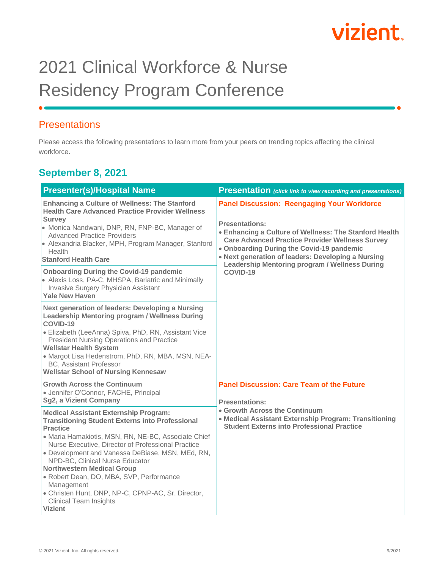# vizient

### 2021 Clinical Workforce & Nurse Residency Program Conference

#### **Presentations**

Please access the following presentations to learn more from your peers on trending topics affecting the clinical workforce.

#### **September 8, 2021**

| <b>Presenter(s)/Hospital Name</b>                                                                                                                                                                                                                                                                                                                                                                                                                                                                                                     | <b>Presentation</b> (click link to view recording and presentations)                                                                                                                                                                                                                                                                                                    |
|---------------------------------------------------------------------------------------------------------------------------------------------------------------------------------------------------------------------------------------------------------------------------------------------------------------------------------------------------------------------------------------------------------------------------------------------------------------------------------------------------------------------------------------|-------------------------------------------------------------------------------------------------------------------------------------------------------------------------------------------------------------------------------------------------------------------------------------------------------------------------------------------------------------------------|
| <b>Enhancing a Culture of Wellness: The Stanford</b><br><b>Health Care Advanced Practice Provider Wellness</b><br><b>Survey</b><br>• Monica Nandwani, DNP, RN, FNP-BC, Manager of<br><b>Advanced Practice Providers</b><br>• Alexandria Blacker, MPH, Program Manager, Stanford<br>Health<br><b>Stanford Health Care</b><br><b>Onboarding During the Covid-19 pandemic</b><br>• Alexis Loss, PA-C, MHSPA, Bariatric and Minimally<br>Invasive Surgery Physician Assistant<br><b>Yale New Haven</b>                                    | <b>Panel Discussion: Reengaging Your Workforce</b><br><b>Presentations:</b><br>• Enhancing a Culture of Wellness: The Stanford Health<br><b>Care Advanced Practice Provider Wellness Survey</b><br>• Onboarding During the Covid-19 pandemic<br>• Next generation of leaders: Developing a Nursing<br><b>Leadership Mentoring program / Wellness During</b><br>COVID-19 |
| Next generation of leaders: Developing a Nursing<br>Leadership Mentoring program / Wellness During<br>COVID-19<br>· Elizabeth (LeeAnna) Spiva, PhD, RN, Assistant Vice<br><b>President Nursing Operations and Practice</b><br><b>Wellstar Health System</b><br>· Margot Lisa Hedenstrom, PhD, RN, MBA, MSN, NEA-<br><b>BC, Assistant Professor</b><br><b>Wellstar School of Nursing Kennesaw</b>                                                                                                                                      |                                                                                                                                                                                                                                                                                                                                                                         |
| <b>Growth Across the Continuum</b><br>· Jennifer O'Connor, FACHE, Principal<br>Sg2, a Vizient Company                                                                                                                                                                                                                                                                                                                                                                                                                                 | <b>Panel Discussion: Care Team of the Future</b><br><b>Presentations:</b><br>• Growth Across the Continuum<br>• Medical Assistant Externship Program: Transitioning<br><b>Student Externs into Professional Practice</b>                                                                                                                                                |
| <b>Medical Assistant Externship Program:</b><br><b>Transitioning Student Externs into Professional</b><br><b>Practice</b><br>· Maria Hamakiotis, MSN, RN, NE-BC, Associate Chief<br>Nurse Executive, Director of Professional Practice<br>· Development and Vanessa DeBiase, MSN, MEd, RN,<br>NPD-BC, Clinical Nurse Educator<br><b>Northwestern Medical Group</b><br>· Robert Dean, DO, MBA, SVP, Performance<br>Management<br>• Christen Hunt, DNP, NP-C, CPNP-AC, Sr. Director,<br><b>Clinical Team Insights</b><br><b>Vizient</b> |                                                                                                                                                                                                                                                                                                                                                                         |